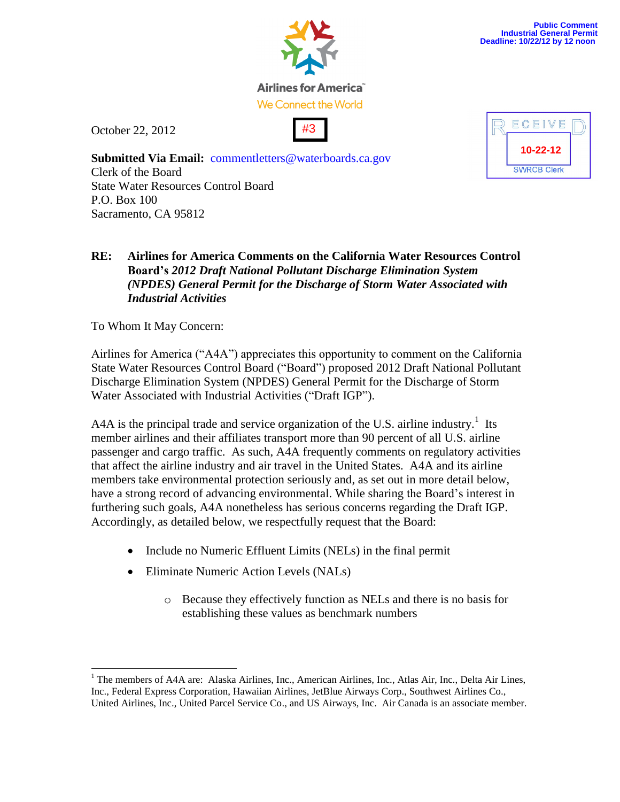

Airlines for America We Connect the World

October 22, 2012





**Submitted Via Email:** commentletters@waterboards.ca.gov Clerk of the Board State Water Resources Control Board P.O. Box 100 Sacramento, CA 95812

## **RE: Airlines for America Comments on the California Water Resources Control Board's** *2012 Draft National Pollutant Discharge Elimination System (NPDES) General Permit for the Discharge of Storm Water Associated with Industrial Activities*

To Whom It May Concern:

 $\overline{a}$ 

Airlines for America ("A4A") appreciates this opportunity to comment on the California State Water Resources Control Board ("Board") proposed 2012 Draft National Pollutant Discharge Elimination System (NPDES) General Permit for the Discharge of Storm Water Associated with Industrial Activities ("Draft IGP").

A4A is the principal trade and service organization of the U.S. airline industry.<sup>1</sup> Its member airlines and their affiliates transport more than 90 percent of all U.S. airline passenger and cargo traffic. As such, A4A frequently comments on regulatory activities that affect the airline industry and air travel in the United States. A4A and its airline members take environmental protection seriously and, as set out in more detail below, have a strong record of advancing environmental. While sharing the Board's interest in furthering such goals, A4A nonetheless has serious concerns regarding the Draft IGP. Accordingly, as detailed below, we respectfully request that the Board:

- Include no Numeric Effluent Limits (NELs) in the final permit
- Eliminate Numeric Action Levels (NALs)
	- o Because they effectively function as NELs and there is no basis for establishing these values as benchmark numbers

 $1$  The members of A4A are: Alaska Airlines, Inc., American Airlines, Inc., Atlas Air, Inc., Delta Air Lines, Inc., Federal Express Corporation, Hawaiian Airlines, JetBlue Airways Corp., Southwest Airlines Co., United Airlines, Inc., United Parcel Service Co., and US Airways, Inc. Air Canada is an associate member.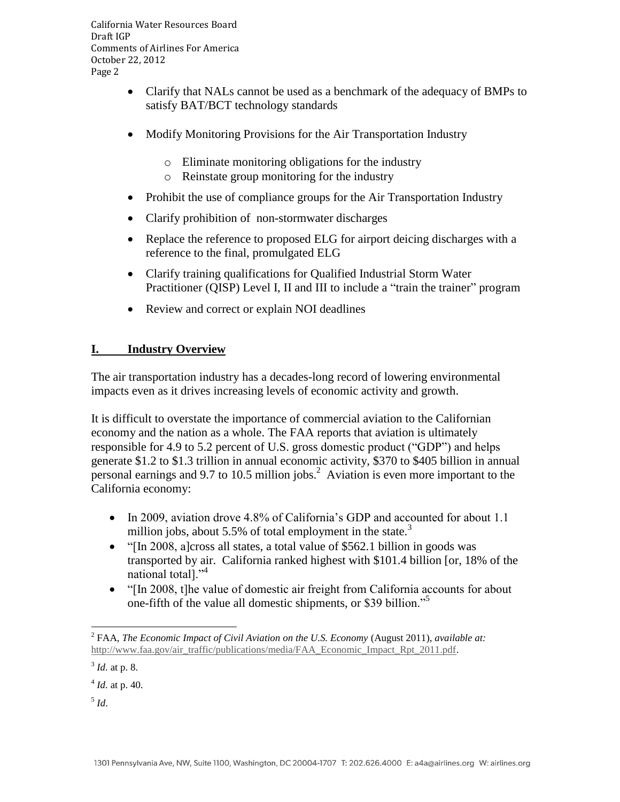- Clarify that NALs cannot be used as a benchmark of the adequacy of BMPs to satisfy BAT/BCT technology standards
- Modify Monitoring Provisions for the Air Transportation Industry
	- o Eliminate monitoring obligations for the industry
	- o Reinstate group monitoring for the industry
- Prohibit the use of compliance groups for the Air Transportation Industry
- Clarify prohibition of non-stormwater discharges
- Replace the reference to proposed ELG for airport deicing discharges with a reference to the final, promulgated ELG
- Clarify training qualifications for Qualified Industrial Storm Water Practitioner (QISP) Level I, II and III to include a "train the trainer" program
- Review and correct or explain NOI deadlines

## **I. Industry Overview**

The air transportation industry has a decades-long record of lowering environmental impacts even as it drives increasing levels of economic activity and growth.

It is difficult to overstate the importance of commercial aviation to the Californian economy and the nation as a whole. The FAA reports that aviation is ultimately responsible for 4.9 to 5.2 percent of U.S. gross domestic product ("GDP") and helps generate \$1.2 to \$1.3 trillion in annual economic activity, \$370 to \$405 billion in annual personal earnings and 9.7 to 10.5 million jobs. $^2$  Aviation is even more important to the California economy:

- In 2009, aviation drove 4.8% of California's GDP and accounted for about 1.1 million jobs, about 5.5% of total employment in the state.<sup>3</sup>
- "[In 2008, a]cross all states, a total value of \$562.1 billion in goods was transported by air. California ranked highest with \$101.4 billion [or, 18% of the national total]."<sup>4</sup>
- "[In 2008, t]he value of domestic air freight from California accounts for about one-fifth of the value all domestic shipments, or \$39 billion."<sup>5</sup>

<sup>&</sup>lt;sup>2</sup> FAA, *The Economic Impact of Civil Aviation on the U.S. Economy* (August 2011), *available at:* [http://www.faa.gov/air\\_traffic/publications/media/FAA\\_Economic\\_Impact\\_Rpt\\_2011.pdf.](http://www.faa.gov/air_traffic/publications/media/FAA_Economic_Impact_Rpt_2011.pdf)

<sup>3</sup> *Id.* at p. 8.

<sup>4</sup> *Id.* at p. 40.

<sup>5</sup> *Id*.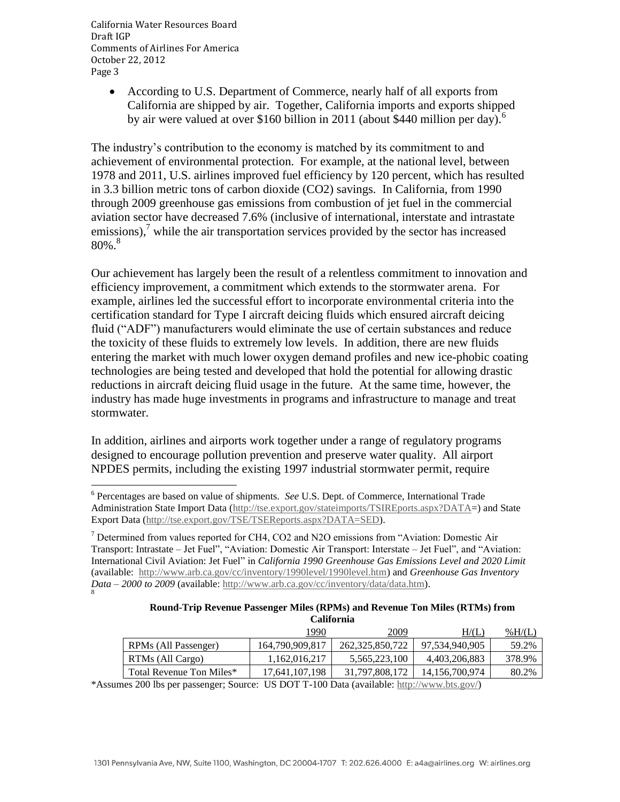> According to U.S. Department of Commerce, nearly half of all exports from California are shipped by air. Together, California imports and exports shipped by air were valued at over \$160 billion in 2011 (about \$440 million per day).<sup>6</sup>

The industry's contribution to the economy is matched by its commitment to and achievement of environmental protection. For example, at the national level, between 1978 and 2011, U.S. airlines improved fuel efficiency by 120 percent, which has resulted in 3.3 billion metric tons of carbon dioxide (CO2) savings. In California, from 1990 through 2009 greenhouse gas emissions from combustion of jet fuel in the commercial aviation sector have decreased 7.6% (inclusive of international, interstate and intrastate emissions), $\frac{7}{1}$  while the air transportation services provided by the sector has increased  $80\%$ <sup>8</sup>

Our achievement has largely been the result of a relentless commitment to innovation and efficiency improvement, a commitment which extends to the stormwater arena. For example, airlines led the successful effort to incorporate environmental criteria into the certification standard for Type I aircraft deicing fluids which ensured aircraft deicing fluid ("ADF") manufacturers would eliminate the use of certain substances and reduce the toxicity of these fluids to extremely low levels. In addition, there are new fluids entering the market with much lower oxygen demand profiles and new ice-phobic coating technologies are being tested and developed that hold the potential for allowing drastic reductions in aircraft deicing fluid usage in the future. At the same time, however, the industry has made huge investments in programs and infrastructure to manage and treat stormwater.

In addition, airlines and airports work together under a range of regulatory programs designed to encourage pollution prevention and preserve water quality. All airport NPDES permits, including the existing 1997 industrial stormwater permit, require

<sup>&</sup>lt;sup>7</sup> Determined from values reported for CH4, CO2 and N2O emissions from "Aviation: Domestic Air Transport: Intrastate – Jet Fuel", "Aviation: Domestic Air Transport: Interstate – Jet Fuel", and "Aviation: International Civil Aviation: Jet Fuel" in *California 1990 Greenhouse Gas Emissions Level and 2020 Limit* (available: [http://www.arb.ca.gov/cc/inventory/1990level/1990level.htm\)](http://www.arb.ca.gov/cc/inventory/1990level/1990level.htm) and *Greenhouse Gas Inventory Data – 2000 to 2009* (available: [http://www.arb.ca.gov/cc/inventory/data/data.htm\)](http://www.arb.ca.gov/cc/inventory/data/data.htm). 8

| Round-Trip Revenue Passenger Miles (RPMs) and Revenue Ton Miles (RTMs) from |
|-----------------------------------------------------------------------------|
| <b>California</b>                                                           |

|                          | 1990            | 2009               | $\rm H/(L)$       | % $H/(L)$ |  |
|--------------------------|-----------------|--------------------|-------------------|-----------|--|
| RPMs (All Passenger)     | 164,790,909,817 | 262, 325, 850, 722 | 97.534.940.905    | 59.2%     |  |
| RTMs (All Cargo)         | 1,162,016,217   | 5,565,223,100      | 4,403,206,883     | 378.9%    |  |
| Total Revenue Ton Miles* | 17.641.107.198  | 31.797.808.172     | 14, 156, 700, 974 | 80.2%     |  |
| - - - - -                |                 |                    |                   |           |  |

\*Assumes 200 lbs per passenger; Source: US DOT T-100 Data (available: [http://www.bts.gov/\)](http://www.bts.gov/)

 6 Percentages are based on value of shipments. *See* U.S. Dept. of Commerce, International Trade Administration State Import Data [\(http://tse.export.gov/stateimports/TSIREports.aspx?DATA=](http://tse.export.gov/stateimports/TSIREports.aspx?DATA)) and State Export Data [\(http://tse.export.gov/TSE/TSEReports.aspx?DATA=SED\)](http://tse.export.gov/TSE/TSEReports.aspx?DATA=SED).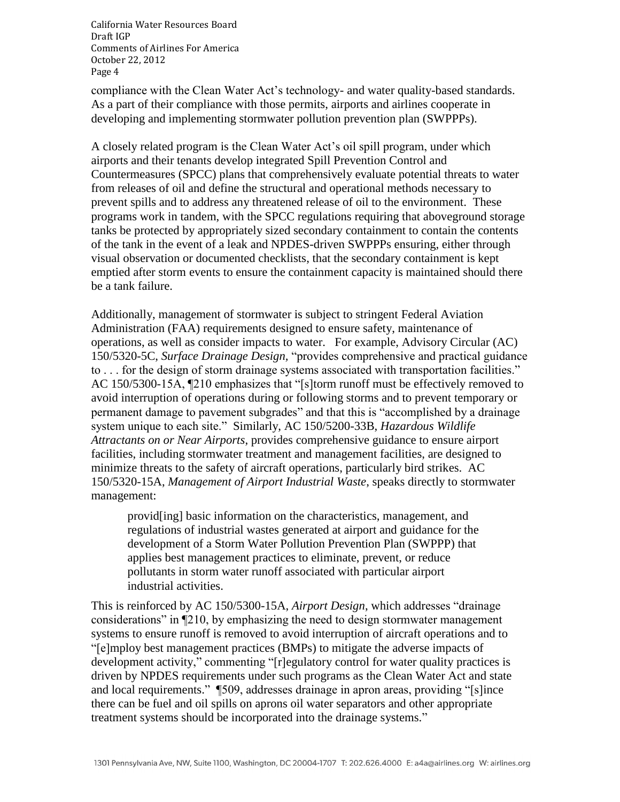compliance with the Clean Water Act's technology- and water quality-based standards. As a part of their compliance with those permits, airports and airlines cooperate in developing and implementing stormwater pollution prevention plan (SWPPPs).

A closely related program is the Clean Water Act's oil spill program, under which airports and their tenants develop integrated Spill Prevention Control and Countermeasures (SPCC) plans that comprehensively evaluate potential threats to water from releases of oil and define the structural and operational methods necessary to prevent spills and to address any threatened release of oil to the environment. These programs work in tandem, with the SPCC regulations requiring that aboveground storage tanks be protected by appropriately sized secondary containment to contain the contents of the tank in the event of a leak and NPDES-driven SWPPPs ensuring, either through visual observation or documented checklists, that the secondary containment is kept emptied after storm events to ensure the containment capacity is maintained should there be a tank failure.

Additionally, management of stormwater is subject to stringent Federal Aviation Administration (FAA) requirements designed to ensure safety, maintenance of operations, as well as consider impacts to water. For example, Advisory Circular (AC) 150/5320-5C, *Surface Drainage Design,* "provides comprehensive and practical guidance to . . . for the design of storm drainage systems associated with transportation facilities." AC 150/5300-15A, ¶210 emphasizes that "[s]torm runoff must be effectively removed to avoid interruption of operations during or following storms and to prevent temporary or permanent damage to pavement subgrades" and that this is "accomplished by a drainage system unique to each site." Similarly, AC 150/5200-33B, *Hazardous Wildlife Attractants on or Near Airports*, provides comprehensive guidance to ensure airport facilities, including stormwater treatment and management facilities, are designed to minimize threats to the safety of aircraft operations, particularly bird strikes. AC 150/5320-15A, *Management of Airport Industrial Waste*, speaks directly to stormwater management:

provid[ing] basic information on the characteristics, management, and regulations of industrial wastes generated at airport and guidance for the development of a Storm Water Pollution Prevention Plan (SWPPP) that applies best management practices to eliminate, prevent, or reduce pollutants in storm water runoff associated with particular airport industrial activities.

This is reinforced by AC 150/5300-15A, *Airport Design*, which addresses "drainage considerations" in ¶210, by emphasizing the need to design stormwater management systems to ensure runoff is removed to avoid interruption of aircraft operations and to "[e]mploy best management practices (BMPs) to mitigate the adverse impacts of development activity," commenting "[r]egulatory control for water quality practices is driven by NPDES requirements under such programs as the Clean Water Act and state and local requirements." ¶509, addresses drainage in apron areas, providing "[s]ince there can be fuel and oil spills on aprons oil water separators and other appropriate treatment systems should be incorporated into the drainage systems."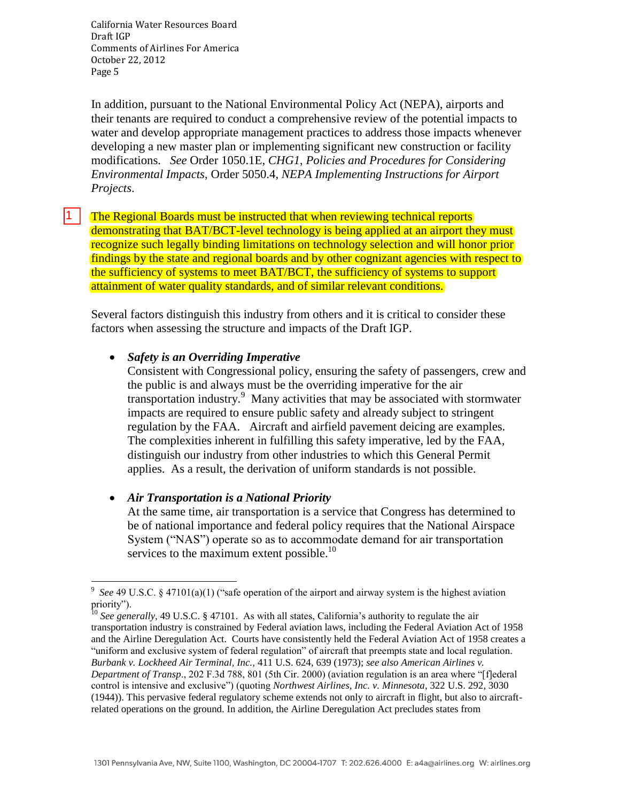11 I

In addition, pursuant to the National Environmental Policy Act (NEPA), airports and their tenants are required to conduct a comprehensive review of the potential impacts to water and develop appropriate management practices to address those impacts whenever developing a new master plan or implementing significant new construction or facility modifications. *See* Order 1050.1E*, CHG1*, *Policies and Procedures for Considering Environmental Impacts*, Order 5050.4, *NEPA Implementing Instructions for Airport Projects*.

The Regional Boards must be instructed that when reviewing technical reports demonstrating that BAT/BCT-level technology is being applied at an airport they must recognize such legally binding limitations on technology selection and will honor prior findings by the state and regional boards and by other cognizant agencies with respect to the sufficiency of systems to meet BAT/BCT, the sufficiency of systems to support attainment of water quality standards, and of similar relevant conditions.

Several factors distinguish this industry from others and it is critical to consider these factors when assessing the structure and impacts of the Draft IGP.

#### *Safety is an Overriding Imperative*

Consistent with Congressional policy, ensuring the safety of passengers, crew and the public is and always must be the overriding imperative for the air transportation industry.<sup>9</sup> Many activities that may be associated with stormwater impacts are required to ensure public safety and already subject to stringent regulation by the FAA. Aircraft and airfield pavement deicing are examples. The complexities inherent in fulfilling this safety imperative, led by the FAA, distinguish our industry from other industries to which this General Permit applies. As a result, the derivation of uniform standards is not possible.

#### *Air Transportation is a National Priority*

At the same time, air transportation is a service that Congress has determined to be of national importance and federal policy requires that the National Airspace System ("NAS") operate so as to accommodate demand for air transportation services to the maximum extent possible.<sup>10</sup>

 $\overline{a}$ <sup>9</sup> See 49 U.S.C. § 47101(a)(1) ("safe operation of the airport and airway system is the highest aviation priority").

<sup>&</sup>lt;sup>10</sup> See generally, 49 U.S.C. § 47101. As with all states, California's authority to regulate the air transportation industry is constrained by Federal aviation laws, including the Federal Aviation Act of 1958 and the Airline Deregulation Act. Courts have consistently held the Federal Aviation Act of 1958 creates a "uniform and exclusive system of federal regulation" of aircraft that preempts state and local regulation. *Burbank v. Lockheed Air Terminal, Inc.,* 411 U.S. 624, 639 (1973); *see also American Airlines v. Department of Transp*., 202 F.3d 788, 801 (5th Cir. 2000) (aviation regulation is an area where "[f]ederal control is intensive and exclusive") (quoting *Northwest Airlines, Inc. v. Minnesota*, 322 U.S. 292, 3030 (1944)). This pervasive federal regulatory scheme extends not only to aircraft in flight, but also to aircraftrelated operations on the ground. In addition, the Airline Deregulation Act precludes states from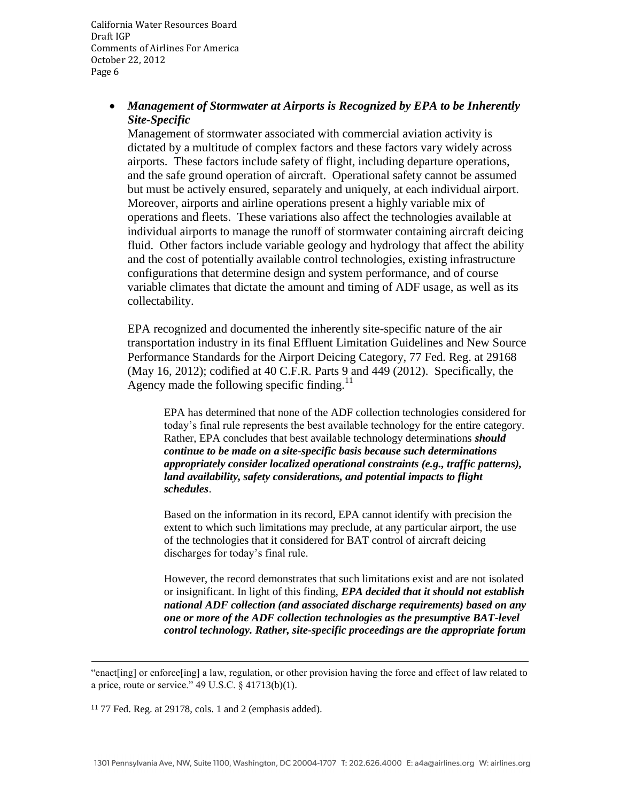## *Management of Stormwater at Airports is Recognized by EPA to be Inherently Site-Specific*

Management of stormwater associated with commercial aviation activity is dictated by a multitude of complex factors and these factors vary widely across airports. These factors include safety of flight, including departure operations, and the safe ground operation of aircraft. Operational safety cannot be assumed but must be actively ensured, separately and uniquely, at each individual airport. Moreover, airports and airline operations present a highly variable mix of operations and fleets. These variations also affect the technologies available at individual airports to manage the runoff of stormwater containing aircraft deicing fluid. Other factors include variable geology and hydrology that affect the ability and the cost of potentially available control technologies, existing infrastructure configurations that determine design and system performance, and of course variable climates that dictate the amount and timing of ADF usage, as well as its collectability.

EPA recognized and documented the inherently site-specific nature of the air transportation industry in its final Effluent Limitation Guidelines and New Source Performance Standards for the Airport Deicing Category, 77 Fed. Reg. at 29168 (May 16, 2012); codified at 40 C.F.R. Parts 9 and 449 (2012). Specifically, the Agency made the following specific finding. $^{11}$ 

EPA has determined that none of the ADF collection technologies considered for today's final rule represents the best available technology for the entire category. Rather, EPA concludes that best available technology determinations *should continue to be made on a site-specific basis because such determinations appropriately consider localized operational constraints (e.g., traffic patterns), land availability, safety considerations, and potential impacts to flight schedules*.

Based on the information in its record, EPA cannot identify with precision the extent to which such limitations may preclude, at any particular airport, the use of the technologies that it considered for BAT control of aircraft deicing discharges for today's final rule.

However, the record demonstrates that such limitations exist and are not isolated or insignificant. In light of this finding, *EPA decided that it should not establish national ADF collection (and associated discharge requirements) based on any one or more of the ADF collection technologies as the presumptive BAT-level control technology. Rather, site-specific proceedings are the appropriate forum* 

<sup>&</sup>quot;enact[ing] or enforce[ing] a law, regulation, or other provision having the force and effect of law related to a price, route or service." 49 U.S.C. § 41713(b)(1).

<sup>11</sup> 77 Fed. Reg. at 29178, cols. 1 and 2 (emphasis added).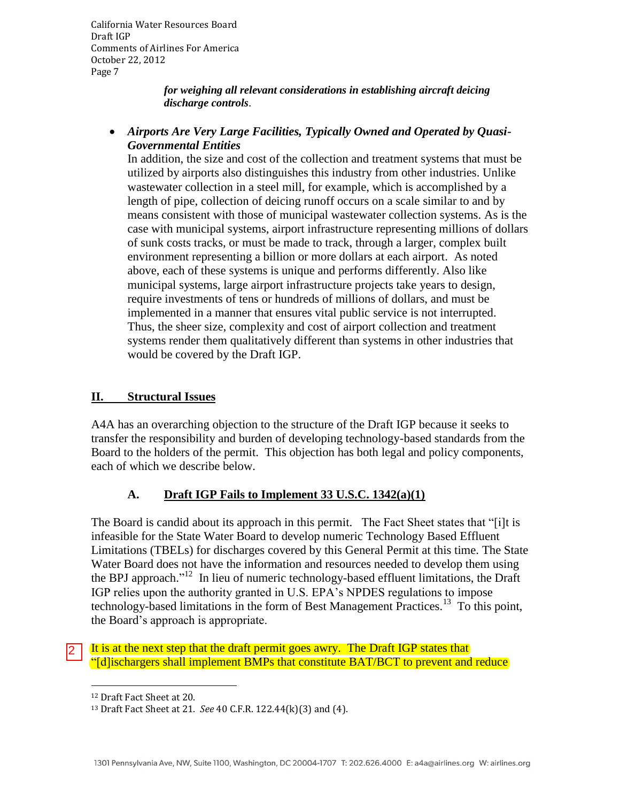> *for weighing all relevant considerations in establishing aircraft deicing discharge controls*.

 *Airports Are Very Large Facilities, Typically Owned and Operated by Quasi-Governmental Entities* 

In addition, the size and cost of the collection and treatment systems that must be utilized by airports also distinguishes this industry from other industries. Unlike wastewater collection in a steel mill, for example, which is accomplished by a length of pipe, collection of deicing runoff occurs on a scale similar to and by means consistent with those of municipal wastewater collection systems. As is the case with municipal systems, airport infrastructure representing millions of dollars of sunk costs tracks, or must be made to track, through a larger, complex built environment representing a billion or more dollars at each airport. As noted above, each of these systems is unique and performs differently. Also like municipal systems, large airport infrastructure projects take years to design, require investments of tens or hundreds of millions of dollars, and must be implemented in a manner that ensures vital public service is not interrupted. Thus, the sheer size, complexity and cost of airport collection and treatment systems render them qualitatively different than systems in other industries that would be covered by the Draft IGP.

### **II. Structural Issues**

A4A has an overarching objection to the structure of the Draft IGP because it seeks to transfer the responsibility and burden of developing technology-based standards from the Board to the holders of the permit. This objection has both legal and policy components, each of which we describe below.

## **A. Draft IGP Fails to Implement 33 U.S.C. 1342(a)(1)**

The Board is candid about its approach in this permit. The Fact Sheet states that "[i]t is infeasible for the State Water Board to develop numeric Technology Based Effluent Limitations (TBELs) for discharges covered by this General Permit at this time. The State Water Board does not have the information and resources needed to develop them using the BPJ approach."<sup>12</sup> In lieu of numeric technology-based effluent limitations, the Draft IGP relies upon the authority granted in U.S. EPA's NPDES regulations to impose technology-based limitations in the form of Best Management Practices.<sup>13</sup> To this point, the Board's approach is appropriate.

It is at the next step that the draft permit goes awry. The Draft IGP states that "[d]ischargers shall implement BMPs that constitute BAT/BCT to prevent and reduce

 $\overline{a}$ 

2

<sup>12</sup> Draft Fact Sheet at 20.

<sup>13</sup> Draft Fact Sheet at 21. *See* 40 C.F.R. 122.44(k)(3) and (4).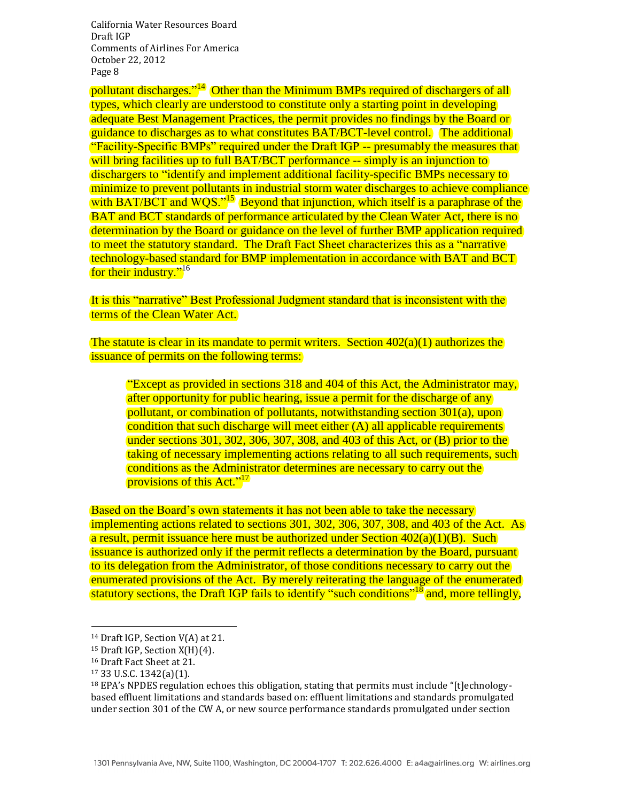pollutant discharges."<sup>14</sup> Other than the Minimum BMPs required of dischargers of all types, which clearly are understood to constitute only a starting point in developing adequate Best Management Practices, the permit provides no findings by the Board or guidance to discharges as to what constitutes BAT/BCT-level control. The additional "Facility-Specific BMPs" required under the Draft IGP -- presumably the measures that will bring facilities up to full BAT/BCT performance -- simply is an injunction to dischargers to "identify and implement additional facility-specific BMPs necessary to minimize to prevent pollutants in industrial storm water discharges to achieve compliance with BAT/BCT and  $WQS.^{315}$  Beyond that injunction, which itself is a paraphrase of the BAT and BCT standards of performance articulated by the Clean Water Act, there is no determination by the Board or guidance on the level of further BMP application required to meet the statutory standard. The Draft Fact Sheet characterizes this as a "narrative technology-based standard for BMP implementation in accordance with BAT and BCT for their industry."<sup>16</sup>

It is this "narrative" Best Professional Judgment standard that is inconsistent with the terms of the Clean Water Act.

The statute is clear in its mandate to permit writers. Section  $402(a)(1)$  authorizes the issuance of permits on the following terms:

"Except as provided in sections 318 and 404 of this Act, the Administrator may, after opportunity for public hearing, issue a permit for the discharge of any pollutant, or combination of pollutants, notwithstanding section 301(a), upon condition that such discharge will meet either (A) all applicable requirements under sections 301, 302, 306, 307, 308, and 403 of this Act, or (B) prior to the taking of necessary implementing actions relating to all such requirements, such conditions as the Administrator determines are necessary to carry out the provisions of this Act."<sup>17</sup>

Based on the Board's own statements it has not been able to take the necessary implementing actions related to sections 301, 302, 306, 307, 308, and 403 of the Act. As a result, permit issuance here must be authorized under Section  $402(a)(1)(B)$ . Such issuance is authorized only if the permit reflects a determination by the Board, pursuant to its delegation from the Administrator, of those conditions necessary to carry out the enumerated provisions of the Act. By merely reiterating the language of the enumerated statutory sections, the Draft IGP fails to identify "such conditions"<sup>18</sup> and, more tellingly,

l

<sup>14</sup> Draft IGP, Section V(A) at 21.

<sup>15</sup> Draft IGP, Section X(H)(4).

<sup>16</sup> Draft Fact Sheet at 21.

<sup>17</sup> 33 U.S.C. 1342(a)(1).

<sup>&</sup>lt;sup>18</sup> EPA's NPDES regulation echoes this obligation, stating that permits must include "[t]echnologybased effluent limitations and standards based on: effluent limitations and standards promulgated under section 301 of the CW A, or new source performance standards promulgated under section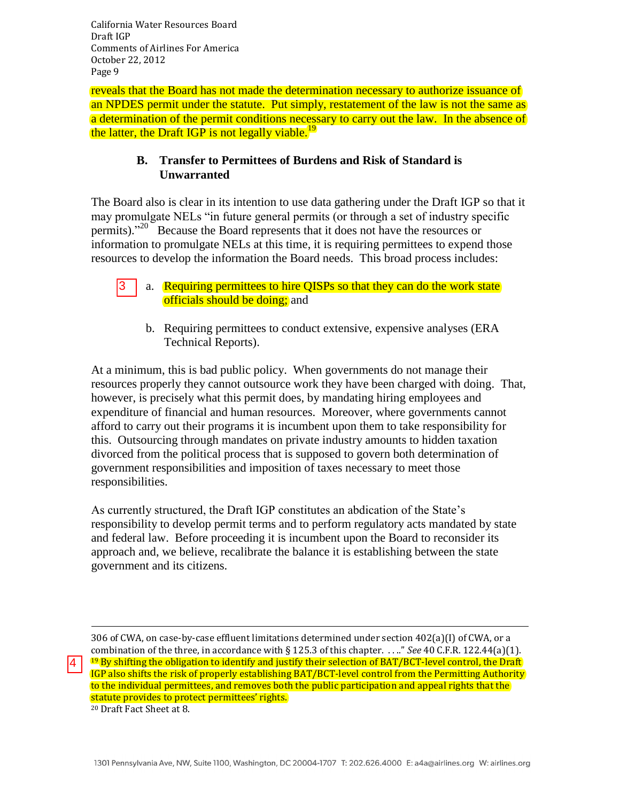l

4

reveals that the Board has not made the determination necessary to authorize issuance of an NPDES permit under the statute. Put simply, restatement of the law is not the same as a determination of the permit conditions necessary to carry out the law. In the absence of the latter, the Draft IGP is not legally viable.<sup>19</sup>

## **B. Transfer to Permittees of Burdens and Risk of Standard is Unwarranted**

The Board also is clear in its intention to use data gathering under the Draft IGP so that it may promulgate NELs "in future general permits (or through a set of industry specific permits)."<sup>20</sup> Because the Board represents that it does not have the resources or information to promulgate NELs at this time, it is requiring permittees to expend those resources to develop the information the Board needs. This broad process includes:

- a. Requiring permittees to hire QISPs so that they can do the work state officials should be doing; and 3
	- b. Requiring permittees to conduct extensive, expensive analyses (ERA Technical Reports).

At a minimum, this is bad public policy. When governments do not manage their resources properly they cannot outsource work they have been charged with doing. That, however, is precisely what this permit does, by mandating hiring employees and expenditure of financial and human resources. Moreover, where governments cannot afford to carry out their programs it is incumbent upon them to take responsibility for this. Outsourcing through mandates on private industry amounts to hidden taxation divorced from the political process that is supposed to govern both determination of government responsibilities and imposition of taxes necessary to meet those responsibilities.

As currently structured, the Draft IGP constitutes an abdication of the State's responsibility to develop permit terms and to perform regulatory acts mandated by state and federal law. Before proceeding it is incumbent upon the Board to reconsider its approach and, we believe, recalibrate the balance it is establishing between the state government and its citizens.

306 of CWA, on case-by-case effluent limitations determined under section 402(a)(I) of CWA, or a combination of the three, in accordance with § 125.3 of this chapter. . . .." *See* 40 C.F.R. 122.44(a)(1). <sup>19</sup> By shifting the obligation to identify and justify their selection of BAT/BCT-level control, the Draft IGP also shifts the risk of properly establishing BAT/BCT-level control from the Permitting Authority to the individual permittees, and removes both the public participation and appeal rights that the statute provides to protect permittees' rights. <sup>20</sup> Draft Fact Sheet at 8.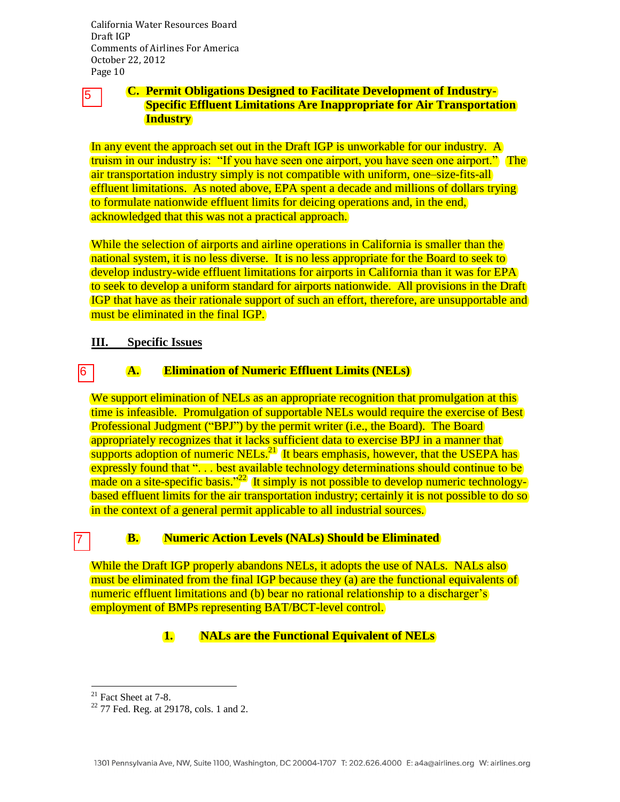# 5

### **C. Permit Obligations Designed to Facilitate Development of Industry-Specific Effluent Limitations Are Inappropriate for Air Transportation Industry**

In any event the approach set out in the Draft IGP is unworkable for our industry. A truism in our industry is: "If you have seen one airport, you have seen one airport." The air transportation industry simply is not compatible with uniform, one–size-fits-all effluent limitations. As noted above, EPA spent a decade and millions of dollars trying to formulate nationwide effluent limits for deicing operations and, in the end, acknowledged that this was not a practical approach.

While the selection of airports and airline operations in California is smaller than the national system, it is no less diverse. It is no less appropriate for the Board to seek to develop industry-wide effluent limitations for airports in California than it was for EPA to seek to develop a uniform standard for airports nationwide. All provisions in the Draft IGP that have as their rationale support of such an effort, therefore, are unsupportable and must be eliminated in the final IGP.

### **III. Specific Issues**

#### **A. Elimination of Numeric Effluent Limits (NELs)**  6

We support elimination of NELs as an appropriate recognition that promulgation at this time is infeasible. Promulgation of supportable NELs would require the exercise of Best Professional Judgment ("BPJ") by the permit writer (i.e., the Board). The Board appropriately recognizes that it lacks sufficient data to exercise BPJ in a manner that  $\frac{1}{\text{supports}}$  adoption of numeric NELs.<sup>21</sup> It bears emphasis, however, that the USEPA has expressly found that "... best available technology determinations should continue to be made on a site-specific basis.<sup>22</sup> It simply is not possible to develop numeric technologybased effluent limits for the air transportation industry; certainly it is not possible to do so in the context of a general permit applicable to all industrial sources.

#### **B. Numeric Action Levels (NALs) Should be Eliminated**

While the Draft IGP properly abandons NELs, it adopts the use of NALs. NALs also must be eliminated from the final IGP because they (a) are the functional equivalents of numeric effluent limitations and (b) bear no rational relationship to a discharger's employment of BMPs representing BAT/BCT-level control.

## **1. NALs are the Functional Equivalent of NELs**

 $\overline{a}$ 

7

 $21$  Fact Sheet at 7-8.

<sup>22</sup> 77 Fed. Reg. at 29178, cols. 1 and 2.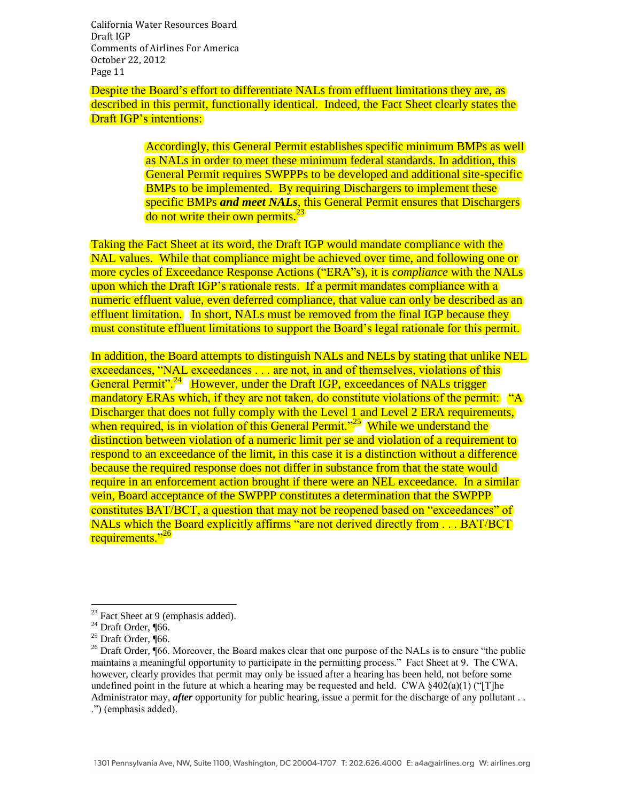Despite the Board's effort to differentiate NALs from effluent limitations they are, as described in this permit, functionally identical. Indeed, the Fact Sheet clearly states the Draft IGP's intentions:

> Accordingly, this General Permit establishes specific minimum BMPs as well as NALs in order to meet these minimum federal standards. In addition, this General Permit requires SWPPPs to be developed and additional site-specific BMPs to be implemented. By requiring Dischargers to implement these specific BMPs *and meet NALs*, this General Permit ensures that Dischargers do not write their own permits.<sup>23</sup>

Taking the Fact Sheet at its word, the Draft IGP would mandate compliance with the NAL values. While that compliance might be achieved over time, and following one or more cycles of Exceedance Response Actions ("ERA"s), it is *compliance* with the NALs upon which the Draft IGP's rationale rests. If a permit mandates compliance with a numeric effluent value, even deferred compliance, that value can only be described as an effluent limitation. In short, NALs must be removed from the final IGP because they must constitute effluent limitations to support the Board's legal rationale for this permit.

In addition, the Board attempts to distinguish NALs and NELs by stating that unlike NEL exceedances, "NAL exceedances . . . are not, in and of themselves, violations of this General Permit".<sup>24</sup> However, under the Draft IGP, exceedances of NALs trigger mandatory ERAs which, if they are not taken, do constitute violations of the permit: "A Discharger that does not fully comply with the Level 1 and Level 2 ERA requirements, when required, is in violation of this General Permit."<sup>25</sup> While we understand the distinction between violation of a numeric limit per se and violation of a requirement to respond to an exceedance of the limit, in this case it is a distinction without a difference because the required response does not differ in substance from that the state would require in an enforcement action brought if there were an NEL exceedance. In a similar vein, Board acceptance of the SWPPP constitutes a determination that the SWPPP constitutes BAT/BCT, a question that may not be reopened based on "exceedances" of NALs which the Board explicitly affirms "are not derived directly from . . . BAT/BCT requirements."<sup>26</sup>

 $23$  Fact Sheet at 9 (emphasis added).

 $24$  Draft Order, ¶66.

 $25$  Draft Order, ¶66.

<sup>&</sup>lt;sup>26</sup> Draft Order,  $\sqrt{66}$ . Moreover, the Board makes clear that one purpose of the NALs is to ensure "the public" maintains a meaningful opportunity to participate in the permitting process." Fact Sheet at 9. The CWA, however, clearly provides that permit may only be issued after a hearing has been held, not before some undefined point in the future at which a hearing may be requested and held. CWA  $\S 402(a)(1)$  ("[T]he Administrator may, *after* opportunity for public hearing, issue a permit for the discharge of any pollutant... .") (emphasis added).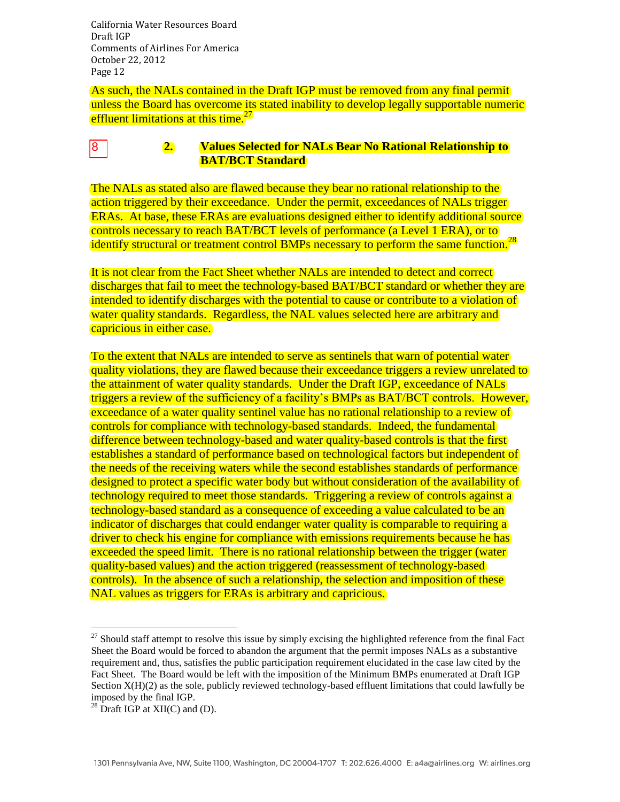As such, the NALs contained in the Draft IGP must be removed from any final permit unless the Board has overcome its stated inability to develop legally supportable numeric effluent limitations at this time.<sup>27</sup>

#### **2. Values Selected for NALs Bear No Rational Relationship to BAT/BCT Standard** 8

The NALs as stated also are flawed because they bear no rational relationship to the action triggered by their exceedance. Under the permit, exceedances of NALs trigger ERAs. At base, these ERAs are evaluations designed either to identify additional source controls necessary to reach BAT/BCT levels of performance (a Level 1 ERA), or to identify structural or treatment control BMPs necessary to perform the same function.<sup>28</sup>

It is not clear from the Fact Sheet whether NALs are intended to detect and correct discharges that fail to meet the technology-based BAT/BCT standard or whether they are intended to identify discharges with the potential to cause or contribute to a violation of water quality standards. Regardless, the NAL values selected here are arbitrary and capricious in either case.

To the extent that NALs are intended to serve as sentinels that warn of potential water quality violations, they are flawed because their exceedance triggers a review unrelated to the attainment of water quality standards. Under the Draft IGP, exceedance of NALs triggers a review of the sufficiency of a facility's BMPs as BAT/BCT controls. However, exceedance of a water quality sentinel value has no rational relationship to a review of controls for compliance with technology-based standards. Indeed, the fundamental difference between technology-based and water quality-based controls is that the first establishes a standard of performance based on technological factors but independent of the needs of the receiving waters while the second establishes standards of performance designed to protect a specific water body but without consideration of the availability of technology required to meet those standards. Triggering a review of controls against a technology-based standard as a consequence of exceeding a value calculated to be an indicator of discharges that could endanger water quality is comparable to requiring a driver to check his engine for compliance with emissions requirements because he has exceeded the speed limit. There is no rational relationship between the trigger (water quality-based values) and the action triggered (reassessment of technology-based controls). In the absence of such a relationship, the selection and imposition of these NAL values as triggers for ERAs is arbitrary and capricious.

 $27$  Should staff attempt to resolve this issue by simply excising the highlighted reference from the final Fact Sheet the Board would be forced to abandon the argument that the permit imposes NALs as a substantive requirement and, thus, satisfies the public participation requirement elucidated in the case law cited by the Fact Sheet. The Board would be left with the imposition of the Minimum BMPs enumerated at Draft IGP Section X(H)(2) as the sole, publicly reviewed technology-based effluent limitations that could lawfully be imposed by the final IGP.

 $28$  Draft IGP at XII(C) and (D).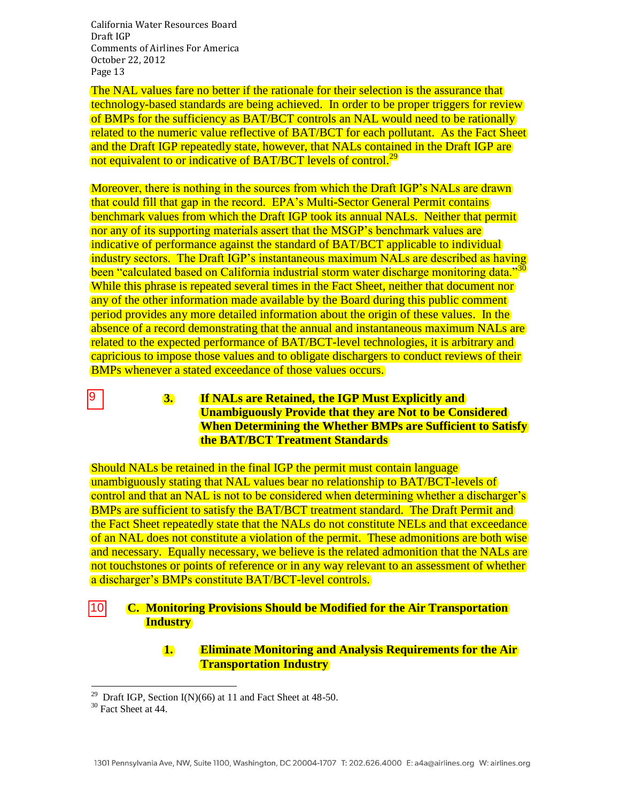The NAL values fare no better if the rationale for their selection is the assurance that technology-based standards are being achieved. In order to be proper triggers for review of BMPs for the sufficiency as BAT/BCT controls an NAL would need to be rationally related to the numeric value reflective of BAT/BCT for each pollutant. As the Fact Sheet and the Draft IGP repeatedly state, however, that NALs contained in the Draft IGP are not equivalent to or indicative of BAT/BCT levels of control.<sup>29</sup>

Moreover, there is nothing in the sources from which the Draft IGP's NALs are drawn that could fill that gap in the record. EPA's Multi-Sector General Permit contains benchmark values from which the Draft IGP took its annual NALs. Neither that permit nor any of its supporting materials assert that the MSGP's benchmark values are indicative of performance against the standard of BAT/BCT applicable to individual industry sectors. The Draft IGP's instantaneous maximum NALs are described as having been "calculated based on California industrial storm water discharge monitoring data."<sup>30</sup> While this phrase is repeated several times in the Fact Sheet, neither that document nor any of the other information made available by the Board during this public comment period provides any more detailed information about the origin of these values. In the absence of a record demonstrating that the annual and instantaneous maximum NALs are related to the expected performance of BAT/BCT-level technologies, it is arbitrary and capricious to impose those values and to obligate dischargers to conduct reviews of their BMPs whenever a stated exceedance of those values occurs.

> **3. If NALs are Retained, the IGP Must Explicitly and Unambiguously Provide that they are Not to be Considered When Determining the Whether BMPs are Sufficient to Satisfy the BAT/BCT Treatment Standards**

Should NALs be retained in the final IGP the permit must contain language unambiguously stating that NAL values bear no relationship to BAT/BCT-levels of control and that an NAL is not to be considered when determining whether a discharger's BMPs are sufficient to satisfy the BAT/BCT treatment standard. The Draft Permit and the Fact Sheet repeatedly state that the NALs do not constitute NELs and that exceedance of an NAL does not constitute a violation of the permit. These admonitions are both wise and necessary. Equally necessary, we believe is the related admonition that the NALs are not touchstones or points of reference or in any way relevant to an assessment of whether a discharger's BMPs constitute BAT/BCT-level controls.

#### **C. Monitoring Provisions Should be Modified for the Air Transportation Industry** |10|

#### **1. Eliminate Monitoring and Analysis Requirements for the Air Transportation Industry**

 $\overline{a}$ 

9

<sup>&</sup>lt;sup>29</sup> Draft IGP, Section I(N)(66) at 11 and Fact Sheet at 48-50.

<sup>&</sup>lt;sup>30</sup> Fact Sheet at 44.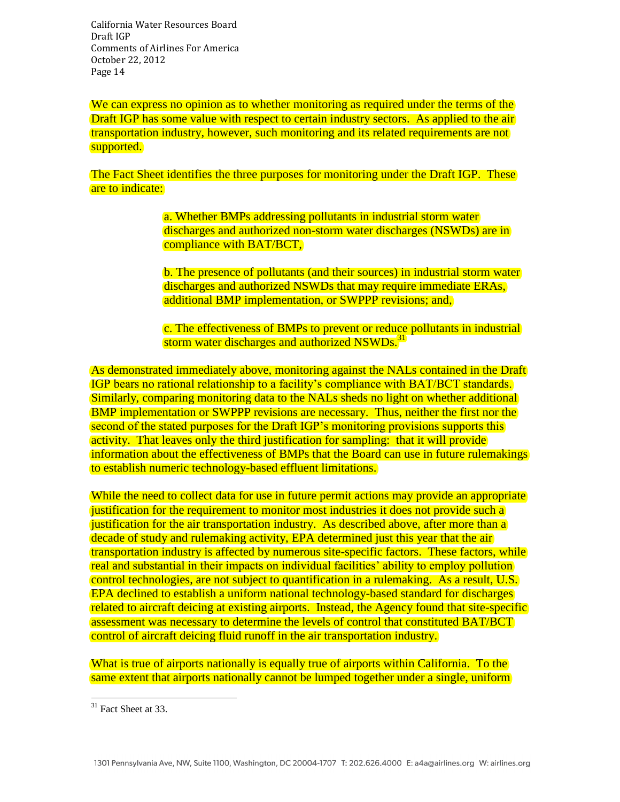We can express no opinion as to whether monitoring as required under the terms of the Draft IGP has some value with respect to certain industry sectors. As applied to the air transportation industry, however, such monitoring and its related requirements are not supported.

The Fact Sheet identifies the three purposes for monitoring under the Draft IGP. These are to indicate:

> a. Whether BMPs addressing pollutants in industrial storm water discharges and authorized non-storm water discharges (NSWDs) are in compliance with BAT/BCT,

b. The presence of pollutants (and their sources) in industrial storm water discharges and authorized NSWDs that may require immediate ERAs, additional BMP implementation, or SWPPP revisions; and,

c. The effectiveness of BMPs to prevent or reduce pollutants in industrial storm water discharges and authorized NSWDs.<sup>31</sup>

As demonstrated immediately above, monitoring against the NALs contained in the Draft IGP bears no rational relationship to a facility's compliance with BAT/BCT standards. Similarly, comparing monitoring data to the NALs sheds no light on whether additional BMP implementation or SWPPP revisions are necessary. Thus, neither the first nor the second of the stated purposes for the Draft IGP's monitoring provisions supports this activity. That leaves only the third justification for sampling: that it will provide information about the effectiveness of BMPs that the Board can use in future rulemakings to establish numeric technology-based effluent limitations.

While the need to collect data for use in future permit actions may provide an appropriate justification for the requirement to monitor most industries it does not provide such a justification for the air transportation industry. As described above, after more than a decade of study and rulemaking activity, EPA determined just this year that the air transportation industry is affected by numerous site-specific factors. These factors, while real and substantial in their impacts on individual facilities' ability to employ pollution control technologies, are not subject to quantification in a rulemaking. As a result, U.S. EPA declined to establish a uniform national technology-based standard for discharges related to aircraft deicing at existing airports. Instead, the Agency found that site-specific assessment was necessary to determine the levels of control that constituted BAT/BCT control of aircraft deicing fluid runoff in the air transportation industry.

What is true of airports nationally is equally true of airports within California. To the same extent that airports nationally cannot be lumped together under a single, uniform

 $\overline{a}$  $31$  Fact Sheet at 33.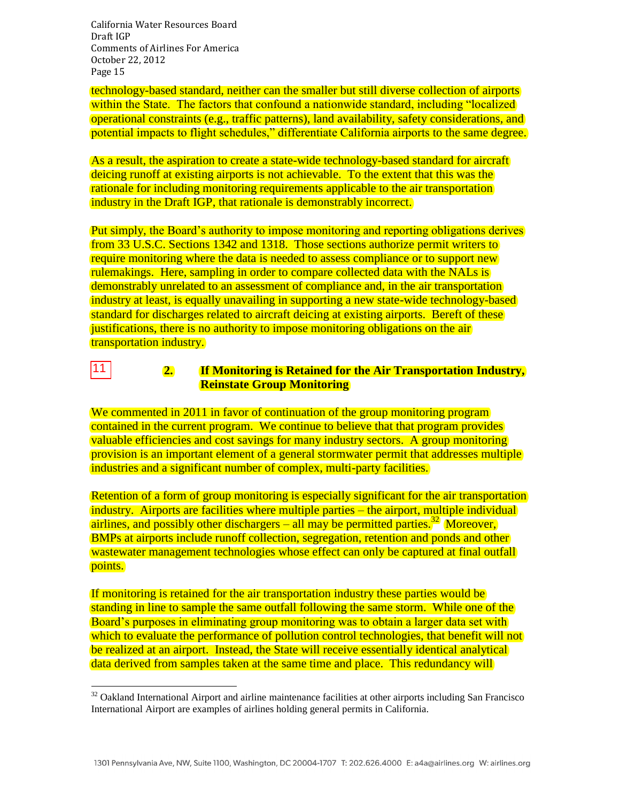$\overline{a}$ 

technology-based standard, neither can the smaller but still diverse collection of airports within the State. The factors that confound a nationwide standard, including "localized" operational constraints (e.g., traffic patterns), land availability, safety considerations, and potential impacts to flight schedules," differentiate California airports to the same degree.

As a result, the aspiration to create a state-wide technology-based standard for aircraft deicing runoff at existing airports is not achievable. To the extent that this was the rationale for including monitoring requirements applicable to the air transportation industry in the Draft IGP, that rationale is demonstrably incorrect.

Put simply, the Board's authority to impose monitoring and reporting obligations derives from 33 U.S.C. Sections 1342 and 1318. Those sections authorize permit writers to require monitoring where the data is needed to assess compliance or to support new rulemakings. Here, sampling in order to compare collected data with the NALs is demonstrably unrelated to an assessment of compliance and, in the air transportation industry at least, is equally unavailing in supporting a new state-wide technology-based standard for discharges related to aircraft deicing at existing airports. Bereft of these justifications, there is no authority to impose monitoring obligations on the air transportation industry.

#### **2. If Monitoring is Retained for the Air Transportation Industry, Reinstate Group Monitoring**  11

We commented in 2011 in favor of continuation of the group monitoring program contained in the current program. We continue to believe that that program provides valuable efficiencies and cost savings for many industry sectors. A group monitoring provision is an important element of a general stormwater permit that addresses multiple industries and a significant number of complex, multi-party facilities.

Retention of a form of group monitoring is especially significant for the air transportation industry. Airports are facilities where multiple parties – the airport, multiple individual airlines, and possibly other dischargers – all may be permitted parties.<sup>32</sup> Moreover, BMPs at airports include runoff collection, segregation, retention and ponds and other wastewater management technologies whose effect can only be captured at final outfall points.

If monitoring is retained for the air transportation industry these parties would be standing in line to sample the same outfall following the same storm. While one of the Board's purposes in eliminating group monitoring was to obtain a larger data set with which to evaluate the performance of pollution control technologies, that benefit will not be realized at an airport. Instead, the State will receive essentially identical analytical data derived from samples taken at the same time and place. This redundancy will

 $32$  Oakland International Airport and airline maintenance facilities at other airports including San Francisco International Airport are examples of airlines holding general permits in California.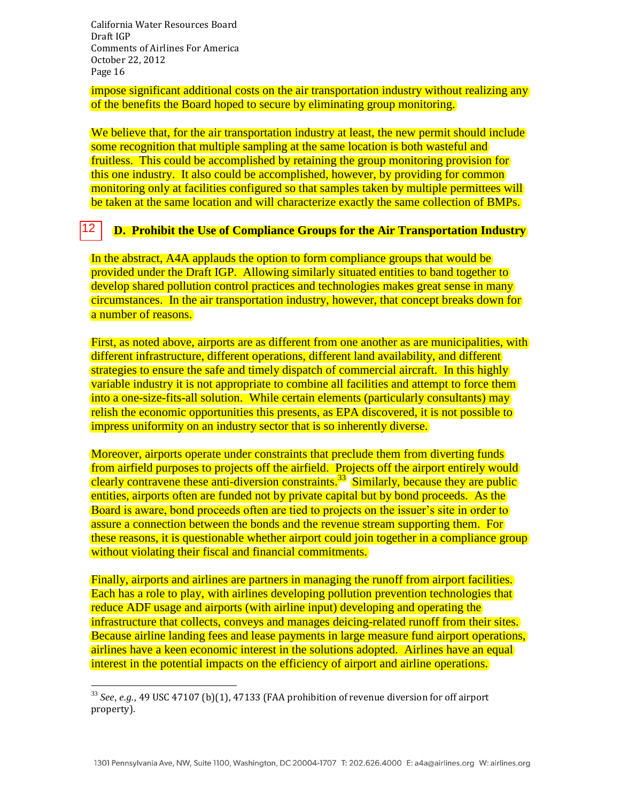$\overline{a}$ 

impose significant additional costs on the air transportation industry without realizing any of the benefits the Board hoped to secure by eliminating group monitoring.

We believe that, for the air transportation industry at least, the new permit should include some recognition that multiple sampling at the same location is both wasteful and fruitless. This could be accomplished by retaining the group monitoring provision for this one industry. It also could be accomplished, however, by providing for common monitoring only at facilities configured so that samples taken by multiple permittees will be taken at the same location and will characterize exactly the same collection of BMPs.

#### **D. Prohibit the Use of Compliance Groups for the Air Transportation Industry** 12

In the abstract, A4A applauds the option to form compliance groups that would be provided under the Draft IGP. Allowing similarly situated entities to band together to develop shared pollution control practices and technologies makes great sense in many circumstances. In the air transportation industry, however, that concept breaks down for a number of reasons.

First, as noted above, airports are as different from one another as are municipalities, with different infrastructure, different operations, different land availability, and different strategies to ensure the safe and timely dispatch of commercial aircraft. In this highly variable industry it is not appropriate to combine all facilities and attempt to force them into a one-size-fits-all solution. While certain elements (particularly consultants) may relish the economic opportunities this presents, as EPA discovered, it is not possible to impress uniformity on an industry sector that is so inherently diverse.

Moreover, airports operate under constraints that preclude them from diverting funds from airfield purposes to projects off the airfield. Projects off the airport entirely would clearly contravene these anti-diversion constraints.<sup>33</sup> Similarly, because they are public entities, airports often are funded not by private capital but by bond proceeds. As the Board is aware, bond proceeds often are tied to projects on the issuer's site in order to assure a connection between the bonds and the revenue stream supporting them. For these reasons, it is questionable whether airport could join together in a compliance group without violating their fiscal and financial commitments.

Finally, airports and airlines are partners in managing the runoff from airport facilities. Each has a role to play, with airlines developing pollution prevention technologies that reduce ADF usage and airports (with airline input) developing and operating the infrastructure that collects, conveys and manages deicing-related runoff from their sites. Because airline landing fees and lease payments in large measure fund airport operations, airlines have a keen economic interest in the solutions adopted. Airlines have an equal interest in the potential impacts on the efficiency of airport and airline operations.

<sup>33</sup> *See, e.g.,* 49 USC 47107 (b)(1), 47133 (FAA prohibition of revenue diversion for off airport property).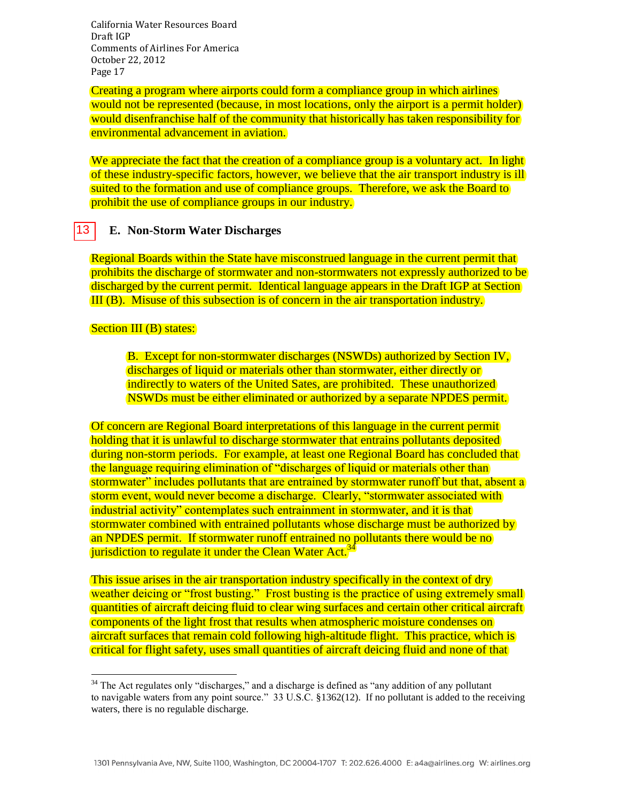Creating a program where airports could form a compliance group in which airlines would not be represented (because, in most locations, only the airport is a permit holder) would disenfranchise half of the community that historically has taken responsibility for environmental advancement in aviation.

We appreciate the fact that the creation of a compliance group is a voluntary act. In light of these industry-specific factors, however, we believe that the air transport industry is ill suited to the formation and use of compliance groups. Therefore, we ask the Board to prohibit the use of compliance groups in our industry.

#### **E. Non-Storm Water Discharges** |13 |

Regional Boards within the State have misconstrued language in the current permit that prohibits the discharge of stormwater and non-stormwaters not expressly authorized to be discharged by the current permit. Identical language appears in the Draft IGP at Section III (B). Misuse of this subsection is of concern in the air transportation industry.

#### Section III (B) states:

 $\overline{a}$ 

B. Except for non-stormwater discharges (NSWDs) authorized by Section IV, discharges of liquid or materials other than stormwater, either directly or indirectly to waters of the United Sates, are prohibited. These unauthorized NSWDs must be either eliminated or authorized by a separate NPDES permit.

Of concern are Regional Board interpretations of this language in the current permit holding that it is unlawful to discharge stormwater that entrains pollutants deposited during non-storm periods. For example, at least one Regional Board has concluded that the language requiring elimination of "discharges of liquid or materials other than stormwater" includes pollutants that are entrained by stormwater runoff but that, absent a storm event, would never become a discharge. Clearly, "stormwater associated with industrial activity" contemplates such entrainment in stormwater, and it is that stormwater combined with entrained pollutants whose discharge must be authorized by an NPDES permit. If stormwater runoff entrained no pollutants there would be no jurisdiction to regulate it under the Clean Water Act.<sup>34</sup>

This issue arises in the air transportation industry specifically in the context of dry weather deicing or "frost busting." Frost busting is the practice of using extremely small quantities of aircraft deicing fluid to clear wing surfaces and certain other critical aircraft components of the light frost that results when atmospheric moisture condenses on aircraft surfaces that remain cold following high-altitude flight. This practice, which is critical for flight safety, uses small quantities of aircraft deicing fluid and none of that

 $34$  The Act regulates only "discharges," and a discharge is defined as "any addition of any pollutant to navigable waters from any point source." 33 U.S.C. §1362(12). If no pollutant is added to the receiving waters, there is no regulable discharge.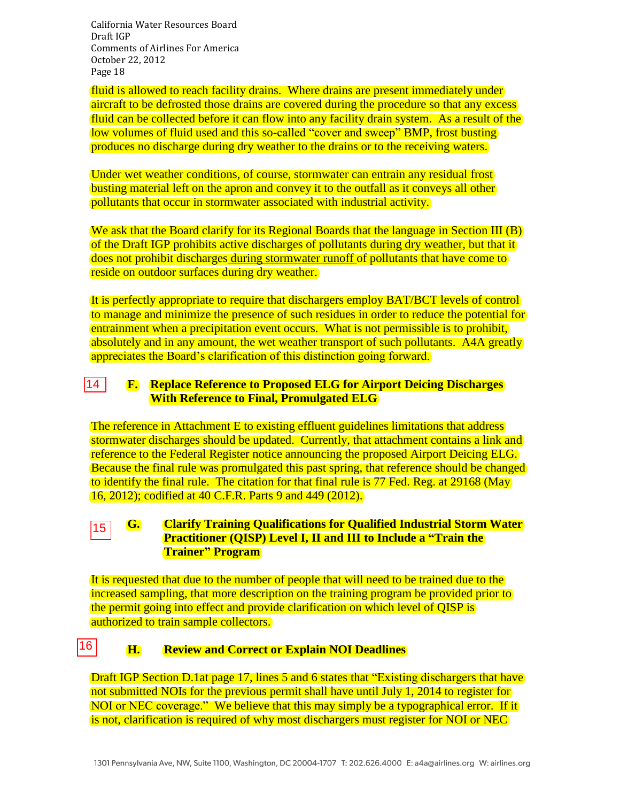fluid is allowed to reach facility drains. Where drains are present immediately under aircraft to be defrosted those drains are covered during the procedure so that any excess fluid can be collected before it can flow into any facility drain system. As a result of the low volumes of fluid used and this so-called "cover and sweep" BMP, frost busting produces no discharge during dry weather to the drains or to the receiving waters.

Under wet weather conditions, of course, stormwater can entrain any residual frost busting material left on the apron and convey it to the outfall as it conveys all other pollutants that occur in stormwater associated with industrial activity.

We ask that the Board clarify for its Regional Boards that the language in Section III (B) of the Draft IGP prohibits active discharges of pollutants during dry weather, but that it does not prohibit discharges during stormwater runoff of pollutants that have come to reside on outdoor surfaces during dry weather.

It is perfectly appropriate to require that dischargers employ BAT/BCT levels of control to manage and minimize the presence of such residues in order to reduce the potential for entrainment when a precipitation event occurs. What is not permissible is to prohibit, absolutely and in any amount, the wet weather transport of such pollutants. A4A greatly appreciates the Board's clarification of this distinction going forward.

#### $\overline{14}$ **F. Replace Reference to Proposed ELG for Airport Deicing Discharges With Reference to Final, Promulgated ELG**

The reference in Attachment E to existing effluent guidelines limitations that address stormwater discharges should be updated. Currently, that attachment contains a link and reference to the Federal Register notice announcing the proposed Airport Deicing ELG. Because the final rule was promulgated this past spring, that reference should be changed to identify the final rule. The citation for that final rule is 77 Fed. Reg. at 29168 (May 16, 2012); codified at 40 C.F.R. Parts 9 and 449 (2012). 14<br>The store<br>reference in the store<br>16,<br>15

#### **G. Clarify Training Qualifications for Qualified Industrial Storm Water**  15 **Practitioner (QISP) Level I, II and III to Include a "Train the Trainer" Program**

It is requested that due to the number of people that will need to be trained due to the increased sampling, that more description on the training program be provided prior to the permit going into effect and provide clarification on which level of QISP is authorized to train sample collectors.

#### **H. Review and Correct or Explain NOI Deadlines** 16

Draft IGP Section D.1at page 17, lines 5 and 6 states that "Existing dischargers that have not submitted NOIs for the previous permit shall have until July 1, 2014 to register for NOI or NEC coverage." We believe that this may simply be a typographical error. If it is not, clarification is required of why most dischargers must register for NOI or NEC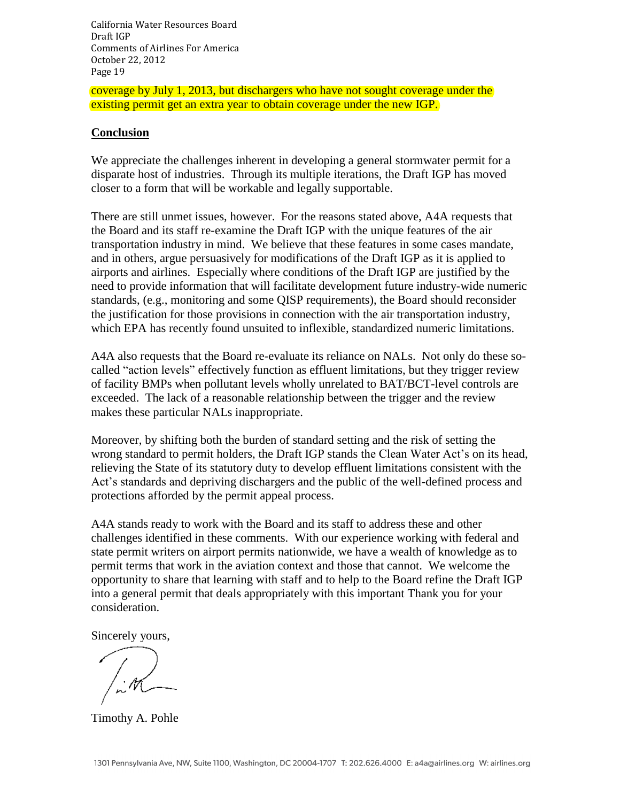coverage by July 1, 2013, but dischargers who have not sought coverage under the existing permit get an extra year to obtain coverage under the new IGP.

#### **Conclusion**

We appreciate the challenges inherent in developing a general stormwater permit for a disparate host of industries. Through its multiple iterations, the Draft IGP has moved closer to a form that will be workable and legally supportable.

There are still unmet issues, however. For the reasons stated above, A4A requests that the Board and its staff re-examine the Draft IGP with the unique features of the air transportation industry in mind. We believe that these features in some cases mandate, and in others, argue persuasively for modifications of the Draft IGP as it is applied to airports and airlines. Especially where conditions of the Draft IGP are justified by the need to provide information that will facilitate development future industry-wide numeric standards, (e.g., monitoring and some QISP requirements), the Board should reconsider the justification for those provisions in connection with the air transportation industry, which EPA has recently found unsuited to inflexible, standardized numeric limitations.

A4A also requests that the Board re-evaluate its reliance on NALs. Not only do these socalled "action levels" effectively function as effluent limitations, but they trigger review of facility BMPs when pollutant levels wholly unrelated to BAT/BCT-level controls are exceeded. The lack of a reasonable relationship between the trigger and the review makes these particular NALs inappropriate.

Moreover, by shifting both the burden of standard setting and the risk of setting the wrong standard to permit holders, the Draft IGP stands the Clean Water Act's on its head, relieving the State of its statutory duty to develop effluent limitations consistent with the Act's standards and depriving dischargers and the public of the well-defined process and protections afforded by the permit appeal process.

A4A stands ready to work with the Board and its staff to address these and other challenges identified in these comments. With our experience working with federal and state permit writers on airport permits nationwide, we have a wealth of knowledge as to permit terms that work in the aviation context and those that cannot. We welcome the opportunity to share that learning with staff and to help to the Board refine the Draft IGP into a general permit that deals appropriately with this important Thank you for your consideration.

Sincerely yours,

Timothy A. Pohle